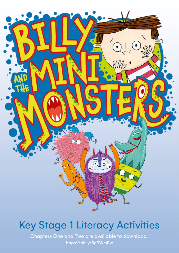

# Key Stage 1 Literacy Activities

Chapters One and Two are available to download. https://bit.ly/3g3WmBw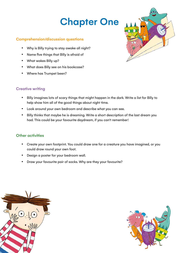## Chapter One

### Comprehension/discussion questions

- Why is Billy trying to stay awake all night?
- • Name five things that Billy is afraid of
- • What wakes Billy up?
- • What does Billy see on his bookcase?
- • Where has Trumpet been?

### **Creative writing**

- • Billy imagines lots of scary things that might happen in the dark. Write a list for Billy to help show him all of the good things about night time.
- Look around your own bedroom and describe what you can see.
- Billy thinks that maybe he is dreaming. Write a short description of the last dream you had. This could be your favourite daydream, if you can't remember!

### **Other activities**

- Create your own footprint. You could draw one for a creature you have imagined, or you could draw round your own foot.
- • Design a poster for your bedroom wall.
- Draw your favourite pair of socks. Why are they your favourite?





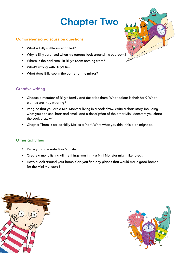## Chapter Two

### Comprehension/discussion questions

- What is Billy's little sister called?
- Why is Billy surprised when his parents look around his bedroom?
- Where is the bad smell in Billy's room coming from?
- What's wrong with Billy's tie?
- • What does Billy see in the corner of the mirror?

### **Creative writing**

- Choose a member of Billy's family and describe them. What colour is their hair? What clothes are they wearing?
- Imagine that you are a Mini Monster living in a sock draw. Write a short story, including what you can see, hear and smell, and a description of the other Mini Monsters you share the sock draw with.
- Chapter Three is called 'Billy Makes a Plan'. Write what you think this plan might be.

### **Other activities**

- Draw your favourite Mini Monster.
- • Create a menu listing all the things you think a Mini Monster might like to eat.
- Have a look around your home. Can you find any places that would make good homes for the Mini Monsters?





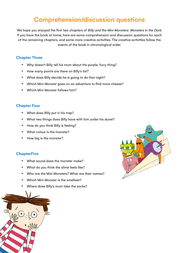### Comprehension/discussion questions

We hope you enjoyed the first two chapters of Billy and the Mini Monsters: Monsters in the Dark. If you have the book at home, here are some comprehension and discussion questions for each of the remaining chapters, and some more creative activities. The creative activities follow the events of the book in chronological order.

### Chapter Three

- Why doesn't Billy tell his mum about the purple, furry thing?
- How many points are there on Billy's list?
- • What does Billy decide he is going to do that night?
- Which Mini Monster goes on an adventure to find more cheese?
- Which Mini Monster follows him?

#### Chapter Four

- What does Billy put in his trap?
- What two things does Billy have with him under his duvet?
- How do you think Billy is feeling?
- What colour is the monster?
- How big is the monster?

### **ChapterFive**

- What sound does the monster make?
- What do you think the slime feels like?
- Who are the Mini Monsters? What are their names?
- Which Mini Monster is the smelliest?
- Where does Billy's mum take the socks?



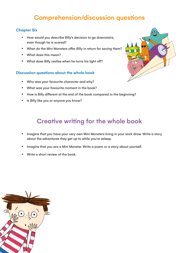### Comprehension/discussion questions

### Chapter Six

- How would you describe Billy's decision to go downstairs, even though he is scared?
- What do the Mini Monsters offer Billy in return for saving them?
- What does this mean?
- What does Billy realise when he turns his light off?

### Discussion questions about the whole book

- Who was your favourite character and why?
- • What was your favourite moment in the book?
- How is Billy different at the end of the book compared to the beginning?
- Is Billy like you or anyone you know?

### Creative writing for the whole book

- Imagine that you have your very own Mini Monsters living in your sock draw. Write a story about the adventures they get up to while you're asleep.
- Imagine that you are a Mini Monster. Write a poem or a story about yourself.
- Write a short review of the book.